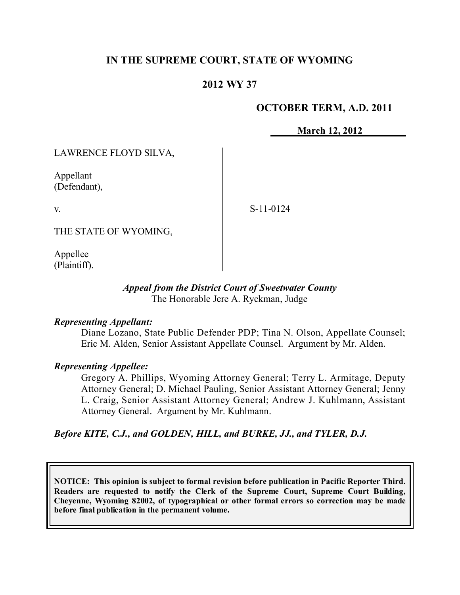# **IN THE SUPREME COURT, STATE OF WYOMING**

# **2012 WY 37**

#### **OCTOBER TERM, A.D. 2011**

**March 12, 2012**

LAWRENCE FLOYD SILVA,

Appellant (Defendant),

v.

S-11-0124

THE STATE OF WYOMING,

Appellee (Plaintiff).

#### *Appeal from the District Court of Sweetwater County* The Honorable Jere A. Ryckman, Judge

#### *Representing Appellant:*

Diane Lozano, State Public Defender PDP; Tina N. Olson, Appellate Counsel; Eric M. Alden, Senior Assistant Appellate Counsel. Argument by Mr. Alden.

#### *Representing Appellee:*

Gregory A. Phillips, Wyoming Attorney General; Terry L. Armitage, Deputy Attorney General; D. Michael Pauling, Senior Assistant Attorney General; Jenny L. Craig, Senior Assistant Attorney General; Andrew J. Kuhlmann, Assistant Attorney General. Argument by Mr. Kuhlmann.

*Before KITE, C.J., and GOLDEN, HILL, and BURKE, JJ., and TYLER, D.J.*

**NOTICE: This opinion is subject to formal revision before publication in Pacific Reporter Third. Readers are requested to notify the Clerk of the Supreme Court, Supreme Court Building, Cheyenne, Wyoming 82002, of typographical or other formal errors so correction may be made before final publication in the permanent volume.**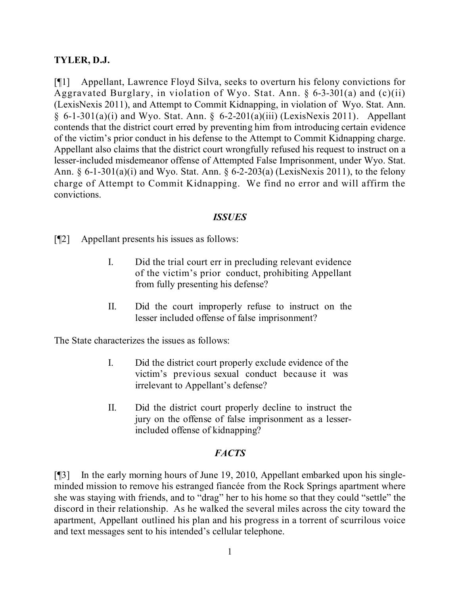### **TYLER, D.J.**

[¶1] Appellant, Lawrence Floyd Silva, seeks to overturn his felony convictions for Aggravated Burglary, in violation of Wyo. Stat. Ann. § 6-3-301(a) and (c)(ii) (LexisNexis 2011), and Attempt to Commit Kidnapping, in violation of Wyo. Stat. Ann.  $§ 6-1-301(a)(i)$  and Wyo. Stat. Ann.  $§ 6-2-201(a)(iii)$  (LexisNexis 2011). Appellant contends that the district court erred by preventing him from introducing certain evidence of the victim's prior conduct in his defense to the Attempt to Commit Kidnapping charge. Appellant also claims that the district court wrongfully refused his request to instruct on a lesser-included misdemeanor offense of Attempted False Imprisonment, under Wyo. Stat. Ann. § 6-1-301(a)(i) and Wyo. Stat. Ann. § 6-2-203(a) (LexisNexis 2011), to the felony charge of Attempt to Commit Kidnapping. We find no error and will affirm the convictions.

#### *ISSUES*

[¶2] Appellant presents his issues as follows:

- I. Did the trial court err in precluding relevant evidence of the victim's prior conduct, prohibiting Appellant from fully presenting his defense?
- II. Did the court improperly refuse to instruct on the lesser included offense of false imprisonment?

The State characterizes the issues as follows:

- I. Did the district court properly exclude evidence of the victim's previous sexual conduct because it was irrelevant to Appellant's defense?
- II. Did the district court properly decline to instruct the jury on the offense of false imprisonment as a lesserincluded offense of kidnapping?

### *FACTS*

[¶3] In the early morning hours of June 19, 2010, Appellant embarked upon his singleminded mission to remove his estranged fiancée from the Rock Springs apartment where she was staying with friends, and to "drag" her to his home so that they could "settle" the discord in their relationship. As he walked the several miles across the city toward the apartment, Appellant outlined his plan and his progress in a torrent of scurrilous voice and text messages sent to his intended's cellular telephone.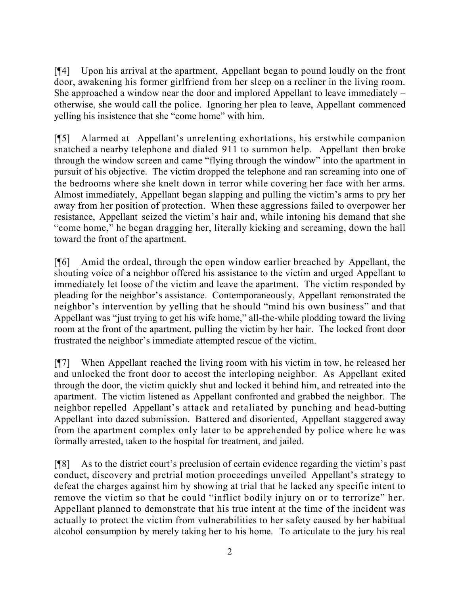[¶4] Upon his arrival at the apartment, Appellant began to pound loudly on the front door, awakening his former girlfriend from her sleep on a recliner in the living room. She approached a window near the door and implored Appellant to leave immediately – otherwise, she would call the police. Ignoring her plea to leave, Appellant commenced yelling his insistence that she "come home" with him.

[¶5] Alarmed at Appellant's unrelenting exhortations, his erstwhile companion snatched a nearby telephone and dialed 911 to summon help. Appellant then broke through the window screen and came "flying through the window" into the apartment in pursuit of his objective. The victim dropped the telephone and ran screaming into one of the bedrooms where she knelt down in terror while covering her face with her arms. Almost immediately, Appellant began slapping and pulling the victim's arms to pry her away from her position of protection. When these aggressions failed to overpower her resistance, Appellant seized the victim's hair and, while intoning his demand that she "come home," he began dragging her, literally kicking and screaming, down the hall toward the front of the apartment.

[¶6] Amid the ordeal, through the open window earlier breached by Appellant, the shouting voice of a neighbor offered his assistance to the victim and urged Appellant to immediately let loose of the victim and leave the apartment. The victim responded by pleading for the neighbor's assistance. Contemporaneously, Appellant remonstrated the neighbor's intervention by yelling that he should "mind his own business" and that Appellant was "just trying to get his wife home," all-the-while plodding toward the living room at the front of the apartment, pulling the victim by her hair. The locked front door frustrated the neighbor's immediate attempted rescue of the victim.

[¶7] When Appellant reached the living room with his victim in tow, he released her and unlocked the front door to accost the interloping neighbor. As Appellant exited through the door, the victim quickly shut and locked it behind him, and retreated into the apartment. The victim listened as Appellant confronted and grabbed the neighbor. The neighbor repelled Appellant's attack and retaliated by punching and head-butting Appellant into dazed submission. Battered and disoriented, Appellant staggered away from the apartment complex only later to be apprehended by police where he was formally arrested, taken to the hospital for treatment, and jailed.

[¶8] As to the district court's preclusion of certain evidence regarding the victim's past conduct, discovery and pretrial motion proceedings unveiled Appellant's strategy to defeat the charges against him by showing at trial that he lacked any specific intent to remove the victim so that he could "inflict bodily injury on or to terrorize" her. Appellant planned to demonstrate that his true intent at the time of the incident was actually to protect the victim from vulnerabilities to her safety caused by her habitual alcohol consumption by merely taking her to his home. To articulate to the jury his real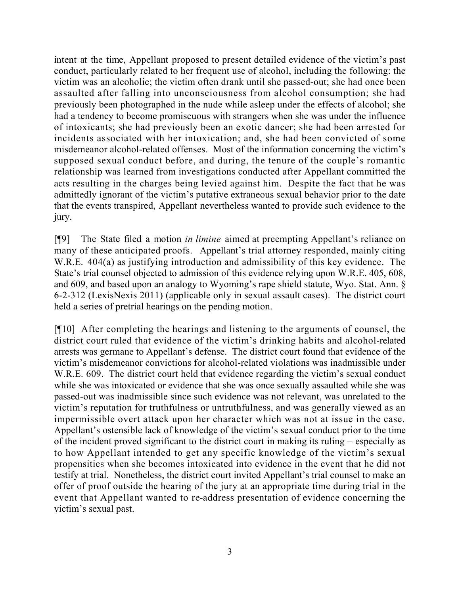intent at the time, Appellant proposed to present detailed evidence of the victim's past conduct, particularly related to her frequent use of alcohol, including the following: the victim was an alcoholic; the victim often drank until she passed-out; she had once been assaulted after falling into unconsciousness from alcohol consumption; she had previously been photographed in the nude while asleep under the effects of alcohol; she had a tendency to become promiscuous with strangers when she was under the influence of intoxicants; she had previously been an exotic dancer; she had been arrested for incidents associated with her intoxication; and, she had been convicted of some misdemeanor alcohol-related offenses. Most of the information concerning the victim's supposed sexual conduct before, and during, the tenure of the couple's romantic relationship was learned from investigations conducted after Appellant committed the acts resulting in the charges being levied against him. Despite the fact that he was admittedly ignorant of the victim's putative extraneous sexual behavior prior to the date that the events transpired, Appellant nevertheless wanted to provide such evidence to the jury.

[¶9] The State filed a motion *in limine* aimed at preempting Appellant's reliance on many of these anticipated proofs. Appellant's trial attorney responded, mainly citing W.R.E. 404(a) as justifying introduction and admissibility of this key evidence. The State's trial counsel objected to admission of this evidence relying upon W.R.E. 405, 608, and 609, and based upon an analogy to Wyoming's rape shield statute, Wyo. Stat. Ann. § 6-2-312 (LexisNexis 2011) (applicable only in sexual assault cases). The district court held a series of pretrial hearings on the pending motion.

[¶10] After completing the hearings and listening to the arguments of counsel, the district court ruled that evidence of the victim's drinking habits and alcohol-related arrests was germane to Appellant's defense. The district court found that evidence of the victim's misdemeanor convictions for alcohol-related violations was inadmissible under W.R.E. 609. The district court held that evidence regarding the victim's sexual conduct while she was intoxicated or evidence that she was once sexually assaulted while she was passed-out was inadmissible since such evidence was not relevant, was unrelated to the victim's reputation for truthfulness or untruthfulness, and was generally viewed as an impermissible overt attack upon her character which was not at issue in the case. Appellant's ostensible lack of knowledge of the victim's sexual conduct prior to the time of the incident proved significant to the district court in making its ruling – especially as to how Appellant intended to get any specific knowledge of the victim's sexual propensities when she becomes intoxicated into evidence in the event that he did not testify at trial. Nonetheless, the district court invited Appellant's trial counsel to make an offer of proof outside the hearing of the jury at an appropriate time during trial in the event that Appellant wanted to re-address presentation of evidence concerning the victim's sexual past.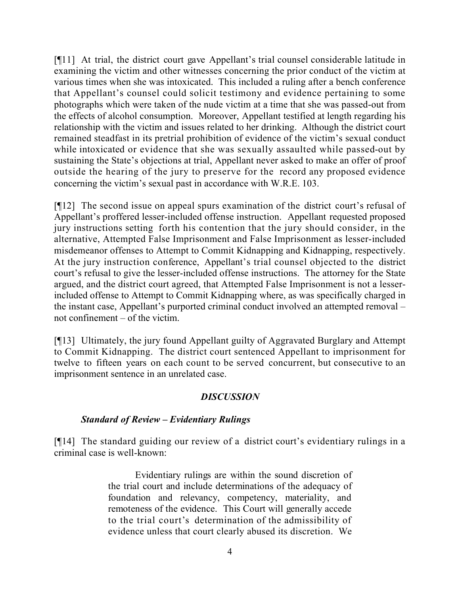[¶11] At trial, the district court gave Appellant's trial counsel considerable latitude in examining the victim and other witnesses concerning the prior conduct of the victim at various times when she was intoxicated. This included a ruling after a bench conference that Appellant's counsel could solicit testimony and evidence pertaining to some photographs which were taken of the nude victim at a time that she was passed-out from the effects of alcohol consumption. Moreover, Appellant testified at length regarding his relationship with the victim and issues related to her drinking. Although the district court remained steadfast in its pretrial prohibition of evidence of the victim's sexual conduct while intoxicated or evidence that she was sexually assaulted while passed-out by sustaining the State's objections at trial, Appellant never asked to make an offer of proof outside the hearing of the jury to preserve for the record any proposed evidence concerning the victim's sexual past in accordance with W.R.E. 103.

[¶12] The second issue on appeal spurs examination of the district court's refusal of Appellant's proffered lesser-included offense instruction. Appellant requested proposed jury instructions setting forth his contention that the jury should consider, in the alternative, Attempted False Imprisonment and False Imprisonment as lesser-included misdemeanor offenses to Attempt to Commit Kidnapping and Kidnapping, respectively. At the jury instruction conference, Appellant's trial counsel objected to the district court's refusal to give the lesser-included offense instructions. The attorney for the State argued, and the district court agreed, that Attempted False Imprisonment is not a lesserincluded offense to Attempt to Commit Kidnapping where, as was specifically charged in the instant case, Appellant's purported criminal conduct involved an attempted removal – not confinement – of the victim.

[¶13] Ultimately, the jury found Appellant guilty of Aggravated Burglary and Attempt to Commit Kidnapping. The district court sentenced Appellant to imprisonment for twelve to fifteen years on each count to be served concurrent, but consecutive to an imprisonment sentence in an unrelated case.

### *DISCUSSION*

### *Standard of Review – Evidentiary Rulings*

[¶14] The standard guiding our review of a district court's evidentiary rulings in a criminal case is well-known:

> Evidentiary rulings are within the sound discretion of the trial court and include determinations of the adequacy of foundation and relevancy, competency, materiality, and remoteness of the evidence. This Court will generally accede to the trial court's determination of the admissibility of evidence unless that court clearly abused its discretion. We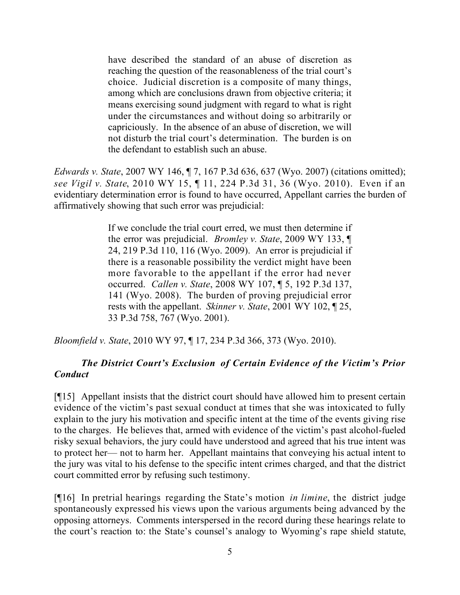have described the standard of an abuse of discretion as reaching the question of the reasonableness of the trial court's choice. Judicial discretion is a composite of many things, among which are conclusions drawn from objective criteria; it means exercising sound judgment with regard to what is right under the circumstances and without doing so arbitrarily or capriciously. In the absence of an abuse of discretion, we will not disturb the trial court's determination. The burden is on the defendant to establish such an abuse.

*Edwards v. State*, 2007 WY 146, ¶ 7, 167 P.3d 636, 637 (Wyo. 2007) (citations omitted); *see Vigil v. State*, 2010 WY 15, ¶ 11, 224 P.3d 31, 36 (Wyo. 2010). Even if an evidentiary determination error is found to have occurred, Appellant carries the burden of affirmatively showing that such error was prejudicial:

> If we conclude the trial court erred, we must then determine if the error was prejudicial. *Bromley v. State*, 2009 WY 133, ¶ 24, 219 P.3d 110, 116 (Wyo. 2009). An error is prejudicial if there is a reasonable possibility the verdict might have been more favorable to the appellant if the error had never occurred. *Callen v. State*, 2008 WY 107, ¶ 5, 192 P.3d 137, 141 (Wyo. 2008). The burden of proving prejudicial error rests with the appellant. *Skinner v. State*, 2001 WY 102, ¶ 25, 33 P.3d 758, 767 (Wyo. 2001).

*Bloomfield v. State*, 2010 WY 97, ¶ 17, 234 P.3d 366, 373 (Wyo. 2010).

# *The District Court's Exclusion of Certain Evidence of the Victim's Prior Conduct*

[¶15] Appellant insists that the district court should have allowed him to present certain evidence of the victim's past sexual conduct at times that she was intoxicated to fully explain to the jury his motivation and specific intent at the time of the events giving rise to the charges. He believes that, armed with evidence of the victim's past alcohol-fueled risky sexual behaviors, the jury could have understood and agreed that his true intent was to protect her— not to harm her. Appellant maintains that conveying his actual intent to the jury was vital to his defense to the specific intent crimes charged, and that the district court committed error by refusing such testimony.

[¶16] In pretrial hearings regarding the State's motion *in limine*, the district judge spontaneously expressed his views upon the various arguments being advanced by the opposing attorneys. Comments interspersed in the record during these hearings relate to the court's reaction to: the State's counsel's analogy to Wyoming's rape shield statute,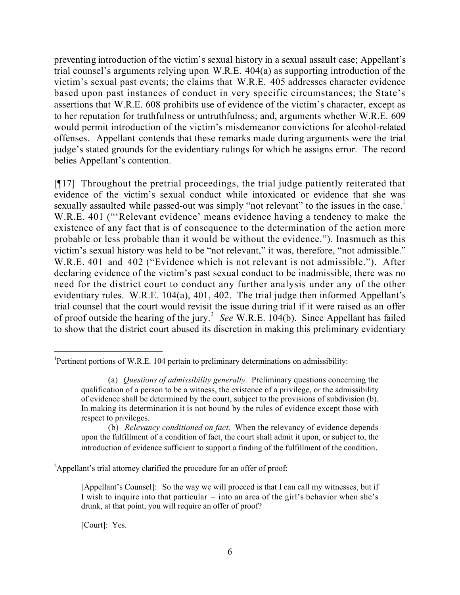preventing introduction of the victim's sexual history in a sexual assault case; Appellant's trial counsel's arguments relying upon W.R.E. 404(a) as supporting introduction of the victim's sexual past events; the claims that W.R.E. 405 addresses character evidence based upon past instances of conduct in very specific circumstances; the State's assertions that W.R.E. 608 prohibits use of evidence of the victim's character, except as to her reputation for truthfulness or untruthfulness; and, arguments whether W.R.E. 609 would permit introduction of the victim's misdemeanor convictions for alcohol-related offenses. Appellant contends that these remarks made during arguments were the trial judge's stated grounds for the evidentiary rulings for which he assigns error. The record belies Appellant's contention.

[¶17] Throughout the pretrial proceedings, the trial judge patiently reiterated that evidence of the victim's sexual conduct while intoxicated or evidence that she was sexually assaulted while passed-out was simply "not relevant" to the issues in the case.<sup>1</sup> W.R.E. 401 ("'Relevant evidence' means evidence having a tendency to make the existence of any fact that is of consequence to the determination of the action more probable or less probable than it would be without the evidence."). Inasmuch as this victim's sexual history was held to be "not relevant," it was, therefore, "not admissible." W.R.E. 401 and 402 ("Evidence which is not relevant is not admissible."). After declaring evidence of the victim's past sexual conduct to be inadmissible, there was no need for the district court to conduct any further analysis under any of the other evidentiary rules. W.R.E. 104(a), 401, 402. The trial judge then informed Appellant's trial counsel that the court would revisit the issue during trial if it were raised as an offer of proof outside the hearing of the jury.<sup>2</sup> See W.R.E. 104(b). Since Appellant has failed to show that the district court abused its discretion in making this preliminary evidentiary

[Court]: Yes.

<sup>&</sup>lt;sup>1</sup>Pertinent portions of W.R.E. 104 pertain to preliminary determinations on admissibility:

<sup>(</sup>a) *Questions of admissibility generally*. Preliminary questions concerning the qualification of a person to be a witness, the existence of a privilege, or the admissibility of evidence shall be determined by the court, subject to the provisions of subdivision (b). In making its determination it is not bound by the rules of evidence except those with respect to privileges.

<sup>(</sup>b) *Relevancy conditioned on fact*. When the relevancy of evidence depends upon the fulfillment of a condition of fact, the court shall admit it upon, or subject to, the introduction of evidence sufficient to support a finding of the fulfillment of the condition.

<sup>&</sup>lt;sup>2</sup>Appellant's trial attorney clarified the procedure for an offer of proof:

<sup>[</sup>Appellant's Counsel]: So the way we will proceed is that I can call my witnesses, but if I wish to inquire into that particular – into an area of the girl's behavior when she's drunk, at that point, you will require an offer of proof?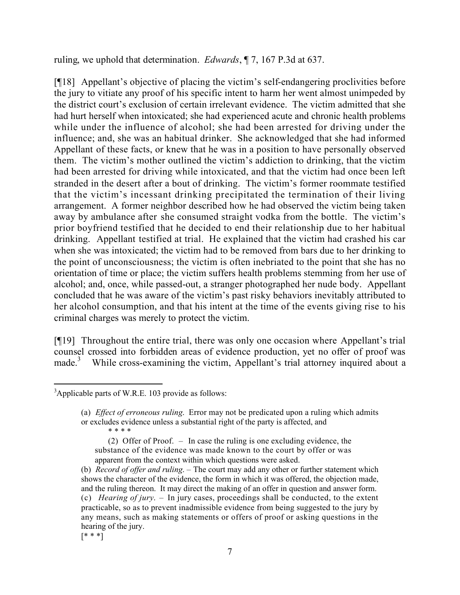ruling, we uphold that determination. *Edwards*, ¶ 7, 167 P.3d at 637.

[¶18] Appellant's objective of placing the victim's self-endangering proclivities before the jury to vitiate any proof of his specific intent to harm her went almost unimpeded by the district court's exclusion of certain irrelevant evidence. The victim admitted that she had hurt herself when intoxicated; she had experienced acute and chronic health problems while under the influence of alcohol; she had been arrested for driving under the influence; and, she was an habitual drinker. She acknowledged that she had informed Appellant of these facts, or knew that he was in a position to have personally observed them. The victim's mother outlined the victim's addiction to drinking, that the victim had been arrested for driving while intoxicated, and that the victim had once been left stranded in the desert after a bout of drinking. The victim's former roommate testified that the victim's incessant drinking precipitated the termination of their living arrangement. A former neighbor described how he had observed the victim being taken away by ambulance after she consumed straight vodka from the bottle. The victim's prior boyfriend testified that he decided to end their relationship due to her habitual drinking. Appellant testified at trial. He explained that the victim had crashed his car when she was intoxicated; the victim had to be removed from bars due to her drinking to the point of unconsciousness; the victim is often inebriated to the point that she has no orientation of time or place; the victim suffers health problems stemming from her use of alcohol; and, once, while passed-out, a stranger photographed her nude body. Appellant concluded that he was aware of the victim's past risky behaviors inevitably attributed to her alcohol consumption, and that his intent at the time of the events giving rise to his criminal charges was merely to protect the victim.

[¶19] Throughout the entire trial, there was only one occasion where Appellant's trial counsel crossed into forbidden areas of evidence production, yet no offer of proof was made.<sup>3</sup> While cross-examining the victim, Appellant's trial attorney inquired about a

\* \* \* \*

(2) Offer of Proof. – In case the ruling is one excluding evidence, the substance of the evidence was made known to the court by offer or was apparent from the context within which questions were asked.

 $[$ \* \*  $]$ 

  $3$ Applicable parts of W.R.E. 103 provide as follows:

<sup>(</sup>a) *Effect of erroneous ruling*. Error may not be predicated upon a ruling which admits or excludes evidence unless a substantial right of the party is affected, and

<sup>(</sup>b) *Record of offer and ruling*. – The court may add any other or further statement which shows the character of the evidence, the form in which it was offered, the objection made, and the ruling thereon. It may direct the making of an offer in question and answer form. (c) *Hearing of jury*. – In jury cases, proceedings shall be conducted, to the extent practicable, so as to prevent inadmissible evidence from being suggested to the jury by any means, such as making statements or offers of proof or asking questions in the hearing of the jury.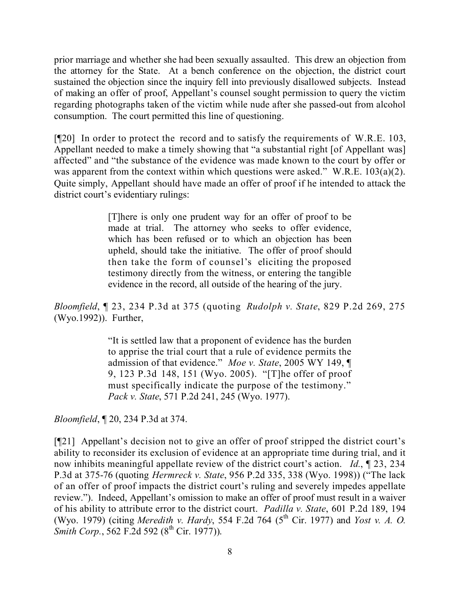prior marriage and whether she had been sexually assaulted. This drew an objection from the attorney for the State. At a bench conference on the objection, the district court sustained the objection since the inquiry fell into previously disallowed subjects. Instead of making an offer of proof, Appellant's counsel sought permission to query the victim regarding photographs taken of the victim while nude after she passed-out from alcohol consumption. The court permitted this line of questioning.

[¶20] In order to protect the record and to satisfy the requirements of W.R.E. 103, Appellant needed to make a timely showing that "a substantial right [of Appellant was] affected" and "the substance of the evidence was made known to the court by offer or was apparent from the context within which questions were asked." W.R.E. 103(a)(2). Quite simply, Appellant should have made an offer of proof if he intended to attack the district court's evidentiary rulings:

> [T]here is only one prudent way for an offer of proof to be made at trial. The attorney who seeks to offer evidence, which has been refused or to which an objection has been upheld, should take the initiative. The offer of proof should then take the form of counsel's eliciting the proposed testimony directly from the witness, or entering the tangible evidence in the record, all outside of the hearing of the jury.

*Bloomfield*, ¶ 23, 234 P.3d at 375 (quoting *Rudolph v. State*, 829 P.2d 269, 275 (Wyo.1992)). Further,

> "It is settled law that a proponent of evidence has the burden to apprise the trial court that a rule of evidence permits the admission of that evidence." *Moe v. State*, 2005 WY 149, ¶ 9, 123 P.3d 148, 151 (Wyo. 2005). "[T]he offer of proof must specifically indicate the purpose of the testimony." *Pack v. State*, 571 P.2d 241, 245 (Wyo. 1977).

*Bloomfield*, ¶ 20, 234 P.3d at 374.

[¶21] Appellant's decision not to give an offer of proof stripped the district court's ability to reconsider its exclusion of evidence at an appropriate time during trial, and it now inhibits meaningful appellate review of the district court's action. *Id.*, ¶ 23, 234 P.3d at 375-76 (quoting *Hermreck v. State*, 956 P.2d 335, 338 (Wyo. 1998)) ("The lack of an offer of proof impacts the district court's ruling and severely impedes appellate review."). Indeed, Appellant's omission to make an offer of proof must result in a waiver of his ability to attribute error to the district court. *Padilla v. State*, 601 P.2d 189, 194 (Wyo. 1979) (citing *Meredith v. Hardy*, 554 F.2d 764 (5 th Cir. 1977) and *Yost v. A. O. Smith Corp.*, 562 F.2d 592 (8<sup>th</sup> Cir. 1977)).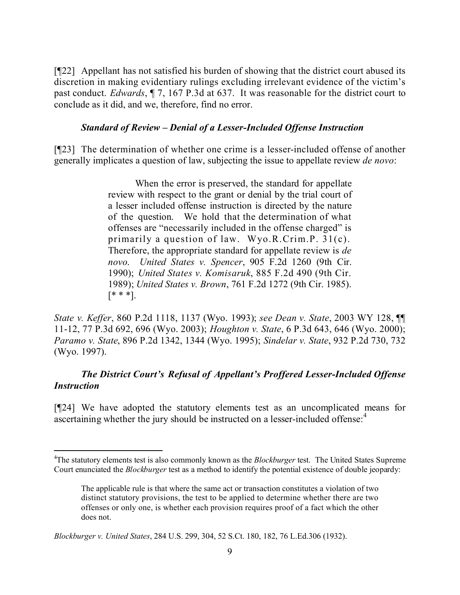[¶22] Appellant has not satisfied his burden of showing that the district court abused its discretion in making evidentiary rulings excluding irrelevant evidence of the victim's past conduct. *Edwards*, ¶ 7, 167 P.3d at 637. It was reasonable for the district court to conclude as it did, and we, therefore, find no error.

### *Standard of Review – Denial of a Lesser-Included Offense Instruction*

[¶23] The determination of whether one crime is a lesser-included offense of another generally implicates a question of law, subjecting the issue to appellate review *de novo*:

> When the error is preserved, the standard for appellate review with respect to the grant or denial by the trial court of a lesser included offense instruction is directed by the nature of the question. We hold that the determination of what offenses are "necessarily included in the offense charged" is primarily a question of law. Wyo.R.Crim.P. 31(c). Therefore, the appropriate standard for appellate review is *de novo*. *United States v. Spencer*, 905 F.2d 1260 (9th Cir. 1990); *United States v. Komisaruk*, 885 F.2d 490 (9th Cir. 1989); *United States v. Brown*, 761 F.2d 1272 (9th Cir. 1985).  $[$ \* \* \*].

*State v. Keffer*, 860 P.2d 1118, 1137 (Wyo. 1993); *see Dean v. State*, 2003 WY 128, ¶¶ 11-12, 77 P.3d 692, 696 (Wyo. 2003); *Houghton v. State*, 6 P.3d 643, 646 (Wyo. 2000); *Paramo v. State*, 896 P.2d 1342, 1344 (Wyo. 1995); *Sindelar v. State*, 932 P.2d 730, 732 (Wyo. 1997).

# *The District Court's Refusal of Appellant's Proffered Lesser-Included Offense Instruction*

[¶24] We have adopted the statutory elements test as an uncomplicated means for ascertaining whether the jury should be instructed on a lesser-included offense.<sup>4</sup>

<sup>4</sup>The statutory elements test is also commonly known as the *Blockburger* test. The United States Supreme Court enunciated the *Blockburger* test as a method to identify the potential existence of double jeopardy:

The applicable rule is that where the same act or transaction constitutes a violation of two distinct statutory provisions, the test to be applied to determine whether there are two offenses or only one, is whether each provision requires proof of a fact which the other does not.

*Blockburger v. United States*, 284 U.S. 299, 304, 52 S.Ct. 180, 182, 76 L.Ed.306 (1932).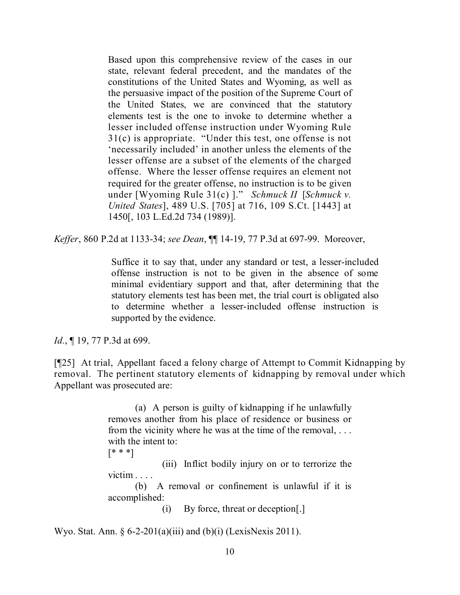Based upon this comprehensive review of the cases in our state, relevant federal precedent, and the mandates of the constitutions of the United States and Wyoming, as well as the persuasive impact of the position of the Supreme Court of the United States, we are convinced that the statutory elements test is the one to invoke to determine whether a lesser included offense instruction under Wyoming Rule 31(c) is appropriate. "Under this test, one offense is not 'necessarily included' in another unless the elements of the lesser offense are a subset of the elements of the charged offense. Where the lesser offense requires an element not required for the greater offense, no instruction is to be given under [Wyoming Rule 31(c) ]." *Schmuck II* [*Schmuck v. United States*], 489 U.S. [705] at 716, 109 S.Ct. [1443] at 1450[, 103 L.Ed.2d 734 (1989)].

*Keffer*, 860 P.2d at 1133-34; *see Dean*, ¶¶ 14-19, 77 P.3d at 697-99. Moreover,

Suffice it to say that, under any standard or test, a lesser-included offense instruction is not to be given in the absence of some minimal evidentiary support and that, after determining that the statutory elements test has been met, the trial court is obligated also to determine whether a lesser-included offense instruction is supported by the evidence.

*Id.*, **[19, 77 P.3d at 699.** 

[¶25] At trial, Appellant faced a felony charge of Attempt to Commit Kidnapping by removal. The pertinent statutory elements of kidnapping by removal under which Appellant was prosecuted are:

> (a) A person is guilty of kidnapping if he unlawfully removes another from his place of residence or business or from the vicinity where he was at the time of the removal, . . . with the intent to:

[\* \* \*]

(iii) Inflict bodily injury on or to terrorize the victim . . . .

(b) A removal or confinement is unlawful if it is accomplished:

(i) By force, threat or deception[.]

Wyo. Stat. Ann.  $\S 6-2-201(a)(iii)$  and  $(b)(i)$  (LexisNexis 2011).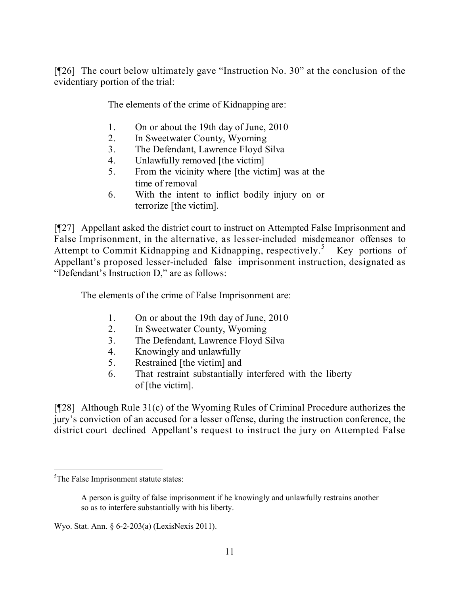[¶26] The court below ultimately gave "Instruction No. 30" at the conclusion of the evidentiary portion of the trial:

The elements of the crime of Kidnapping are:

- 1. On or about the 19th day of June, 2010
- 2. In Sweetwater County, Wyoming
- 3. The Defendant, Lawrence Floyd Silva
- 4. Unlawfully removed [the victim]
- 5. From the vicinity where [the victim] was at the time of removal
- 6. With the intent to inflict bodily injury on or terrorize [the victim].

[¶27] Appellant asked the district court to instruct on Attempted False Imprisonment and False Imprisonment, in the alternative, as lesser-included misdemeanor offenses to Attempt to Commit Kidnapping and Kidnapping, respectively.<sup>5</sup> Key portions of Appellant's proposed lesser-included false imprisonment instruction, designated as "Defendant's Instruction D," are as follows:

The elements of the crime of False Imprisonment are:

- 1. On or about the 19th day of June, 2010
- 2. In Sweetwater County, Wyoming
- 3. The Defendant, Lawrence Floyd Silva
- 4. Knowingly and unlawfully
- 5. Restrained [the victim] and
- 6. That restraint substantially interfered with the liberty of [the victim].

[¶28] Although Rule 31(c) of the Wyoming Rules of Criminal Procedure authorizes the jury's conviction of an accused for a lesser offense, during the instruction conference, the district court declined Appellant's request to instruct the jury on Attempted False

<sup>&</sup>lt;sup>5</sup>The False Imprisonment statute states:

A person is guilty of false imprisonment if he knowingly and unlawfully restrains another so as to interfere substantially with his liberty.

Wyo. Stat. Ann. § 6-2-203(a) (LexisNexis 2011).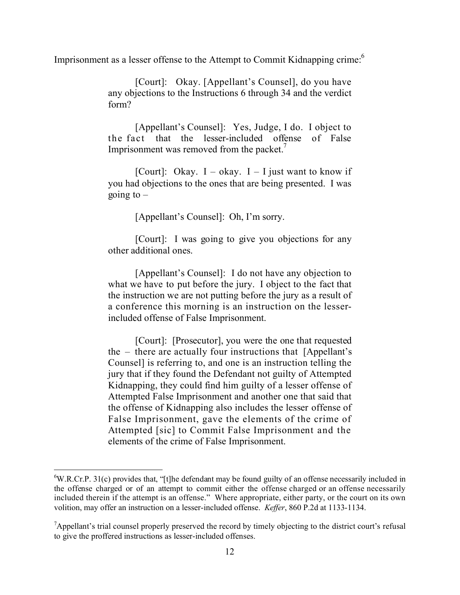Imprisonment as a lesser offense to the Attempt to Commit Kidnapping crime:<sup>6</sup>

[Court]: Okay. [Appellant's Counsel], do you have any objections to the Instructions 6 through 34 and the verdict form?

[Appellant's Counsel]: Yes, Judge, I do. I object to the fact that the lesser-included offense of False Imprisonment was removed from the packet.<sup>7</sup>

[Court]: Okay.  $I - okay$ .  $I - I$  just want to know if you had objections to the ones that are being presented. I was going to  $-$ 

[Appellant's Counsel]: Oh, I'm sorry.

[Court]: I was going to give you objections for any other additional ones.

[Appellant's Counsel]: I do not have any objection to what we have to put before the jury. I object to the fact that the instruction we are not putting before the jury as a result of a conference this morning is an instruction on the lesserincluded offense of False Imprisonment.

[Court]: [Prosecutor], you were the one that requested the – there are actually four instructions that [Appellant's Counsel] is referring to, and one is an instruction telling the jury that if they found the Defendant not guilty of Attempted Kidnapping, they could find him guilty of a lesser offense of Attempted False Imprisonment and another one that said that the offense of Kidnapping also includes the lesser offense of False Imprisonment, gave the elements of the crime of Attempted [sic] to Commit False Imprisonment and the elements of the crime of False Imprisonment.

 ${}^{6}$ W.R.Cr.P. 31(c) provides that, "[t]he defendant may be found guilty of an offense necessarily included in the offense charged or of an attempt to commit either the offense charged or an offense necessarily included therein if the attempt is an offense." Where appropriate, either party, or the court on its own volition, may offer an instruction on a lesser-included offense. *Keffer*, 860 P.2d at 1133-1134.

<sup>&</sup>lt;sup>7</sup>Appellant's trial counsel properly preserved the record by timely objecting to the district court's refusal to give the proffered instructions as lesser-included offenses.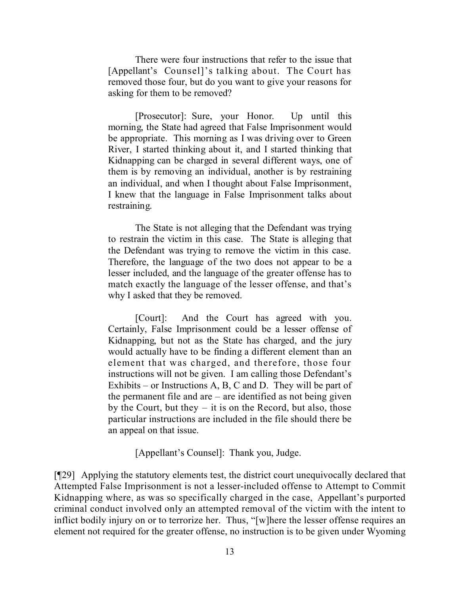There were four instructions that refer to the issue that [Appellant's Counsel]'s talking about. The Court has removed those four, but do you want to give your reasons for asking for them to be removed?

[Prosecutor]: Sure, your Honor. Up until this morning, the State had agreed that False Imprisonment would be appropriate. This morning as I was driving over to Green River, I started thinking about it, and I started thinking that Kidnapping can be charged in several different ways, one of them is by removing an individual, another is by restraining an individual, and when I thought about False Imprisonment, I knew that the language in False Imprisonment talks about restraining.

The State is not alleging that the Defendant was trying to restrain the victim in this case. The State is alleging that the Defendant was trying to remove the victim in this case. Therefore, the language of the two does not appear to be a lesser included, and the language of the greater offense has to match exactly the language of the lesser offense, and that's why I asked that they be removed.

[Court]: And the Court has agreed with you. Certainly, False Imprisonment could be a lesser offense of Kidnapping, but not as the State has charged, and the jury would actually have to be finding a different element than an element that was charged, and therefore, those four instructions will not be given. I am calling those Defendant's Exhibits – or Instructions A, B, C and D. They will be part of the permanent file and are  $-$  are identified as not being given by the Court, but they – it is on the Record, but also, those particular instructions are included in the file should there be an appeal on that issue.

[Appellant's Counsel]: Thank you, Judge.

[¶29] Applying the statutory elements test, the district court unequivocally declared that Attempted False Imprisonment is not a lesser-included offense to Attempt to Commit Kidnapping where, as was so specifically charged in the case, Appellant's purported criminal conduct involved only an attempted removal of the victim with the intent to inflict bodily injury on or to terrorize her. Thus, "[w]here the lesser offense requires an element not required for the greater offense, no instruction is to be given under Wyoming